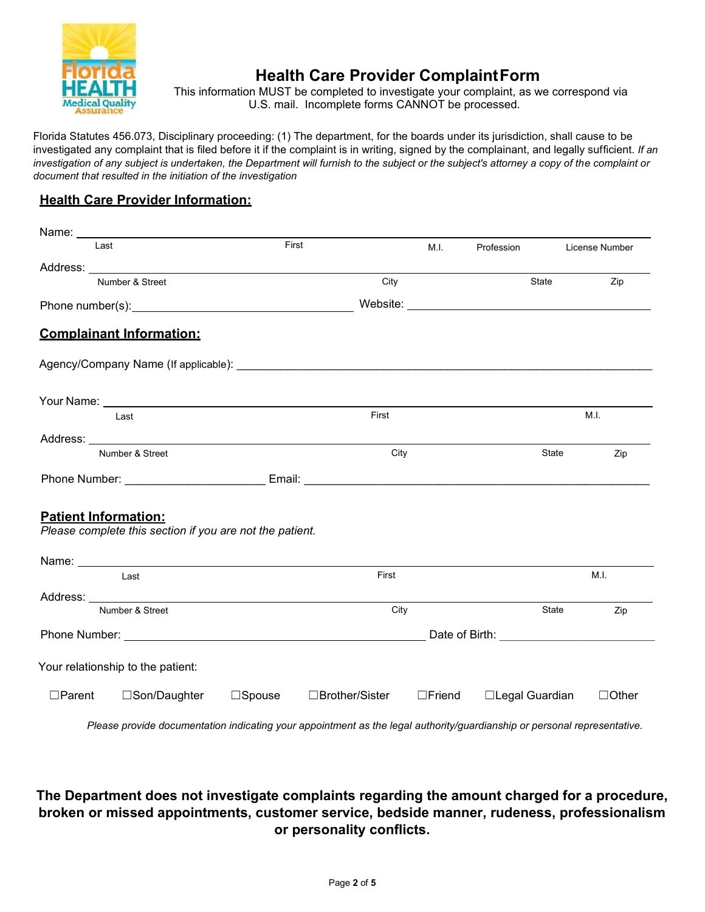

# **Health Care Provider ComplaintForm**

This information MUST be completed to investigate your complaint, as we correspond via U.S. mail. Incomplete forms CANNOT be processed.

Florida Statutes 456.073, Disciplinary proceeding: (1) The department, for the boards under its jurisdiction, shall cause to be investigated any complaint that is filed before it if the complaint is in writing, signed by the complainant, and legally sufficient. *If an investigation of any subject is undertaken, the Department will furnish to the subject or the subject's attorney a copy of the complaint or document that resulted in the initiation of the investigation*

### **Health Care Provider Information:**

| Name: $\_\_$                |                                                                                                                                                                                                                                                                         |                  |                 |                  |                 |       |                |
|-----------------------------|-------------------------------------------------------------------------------------------------------------------------------------------------------------------------------------------------------------------------------------------------------------------------|------------------|-----------------|------------------|-----------------|-------|----------------|
| Last                        |                                                                                                                                                                                                                                                                         | First            |                 | M.I.             | Profession      |       | License Number |
|                             |                                                                                                                                                                                                                                                                         |                  |                 |                  |                 |       |                |
|                             | Number & Street                                                                                                                                                                                                                                                         |                  | City            |                  |                 | State | Zip            |
|                             | Phone number(s): example and the state of the state of the state of the state of the state of the state of the state of the state of the state of the state of the state of the state of the state of the state of the state o                                          |                  |                 |                  |                 |       |                |
|                             | <b>Complainant Information:</b>                                                                                                                                                                                                                                         |                  |                 |                  |                 |       |                |
|                             |                                                                                                                                                                                                                                                                         |                  |                 |                  |                 |       |                |
|                             | Your Name: Van Andrew Management of the Contract of the Contract of the Contract of the Contract of the Contract of the Contract of the Contract of the Contract of the Contract of the Contract of the Contract of the Contra                                          |                  |                 |                  |                 |       |                |
|                             | Last                                                                                                                                                                                                                                                                    |                  | First           |                  |                 |       | M.I.           |
|                             |                                                                                                                                                                                                                                                                         |                  |                 |                  |                 |       |                |
|                             | Number & Street                                                                                                                                                                                                                                                         |                  | City            |                  |                 | State | Zip            |
|                             |                                                                                                                                                                                                                                                                         |                  |                 |                  |                 |       |                |
| <b>Patient Information:</b> | Please complete this section if you are not the patient.                                                                                                                                                                                                                |                  |                 |                  |                 |       |                |
|                             |                                                                                                                                                                                                                                                                         |                  |                 |                  |                 |       |                |
| Last                        |                                                                                                                                                                                                                                                                         |                  | First           |                  |                 | M.I.  |                |
|                             | Address: Note and the set of the set of the set of the set of the set of the set of the set of the set of the set of the set of the set of the set of the set of the set of the set of the set of the set of the set of the se                                          |                  |                 |                  |                 |       |                |
|                             | Number & Street                                                                                                                                                                                                                                                         |                  | City            |                  |                 | State | Zip            |
|                             | Phone Number: National Accounts and Accounts and Accounts and Accounts and Accounts and Accounts and Accounts and Accounts and Accounts and Accounts and Accounts and Accounts and Accounts and Accounts and Accounts and Acco<br>Date of Birth: The Contract of Birth: |                  |                 |                  |                 |       |                |
|                             | Your relationship to the patient:                                                                                                                                                                                                                                       |                  |                 |                  |                 |       |                |
| $\Box$ Parent               | □Son/Daughter                                                                                                                                                                                                                                                           | $\square$ Spouse | □Brother/Sister | $\square$ Friend | □Legal Guardian |       | $\Box$ Other   |

*Please provide documentation indicating your appointment as the legal authority/guardianship or personal representative.*

## **The Department does not investigate complaints regarding the amount charged for a procedure, broken or missed appointments, customer service, bedside manner, rudeness, professionalism or personality conflicts.**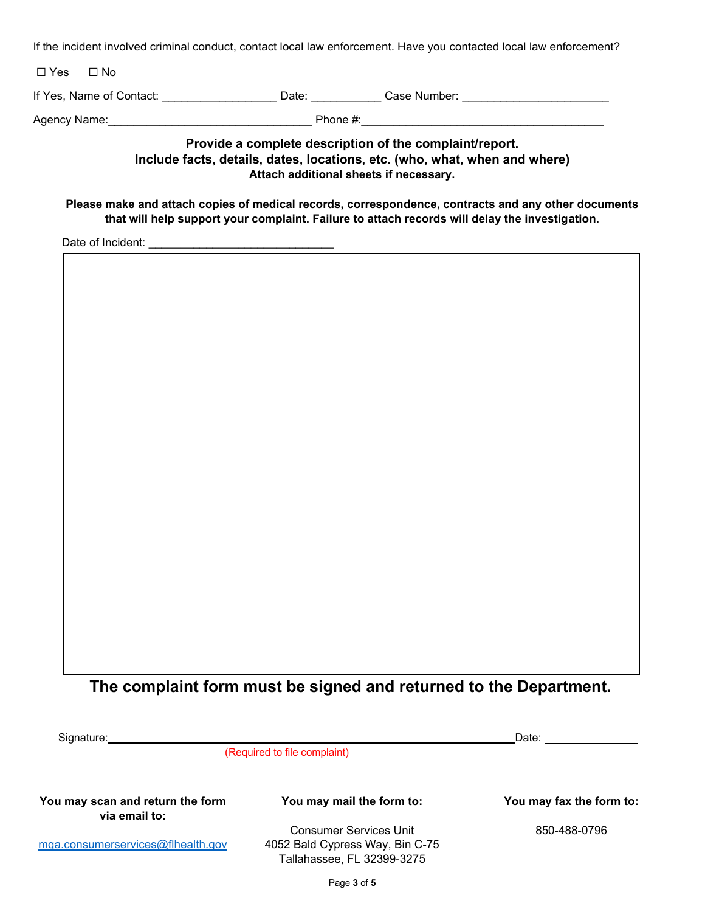If the incident involved criminal conduct, contact local law enforcement. Have you contacted local law enforcement?

| $\Box$ Yes | $\Box$ No                |       |              |  |
|------------|--------------------------|-------|--------------|--|
|            | If Yes, Name of Contact: | Date: | Case Number: |  |

| Agency<br>Name: | ,,,,,, |
|-----------------|--------|
|                 | .      |
|                 |        |

### **Provide a complete description of the complaint/report. Include facts, details, dates, locations, etc. (who, what, when and where) Attach additional sheets if necessary.**

#### **Please make and attach copies of medical records, correspondence, contracts and any other documents that will help support your complaint. Failure to attach records will delay the investigation.**

Date of Incident:

# **The complaint form must be signed and returned to the Department.**

Signature: Date:

(Required to file complaint)

**You may scan and return the form via email to:**

[mqa.consumerservices@flhealth.gov](mailto:mqa.consumerservices@flhealth.gov)

#### **You may mail the form to: You may fax the form to:**

Consumer Services Unit 4052 Bald Cypress Way, Bin C-75 Tallahassee, FL 32399-3275

850-488-0796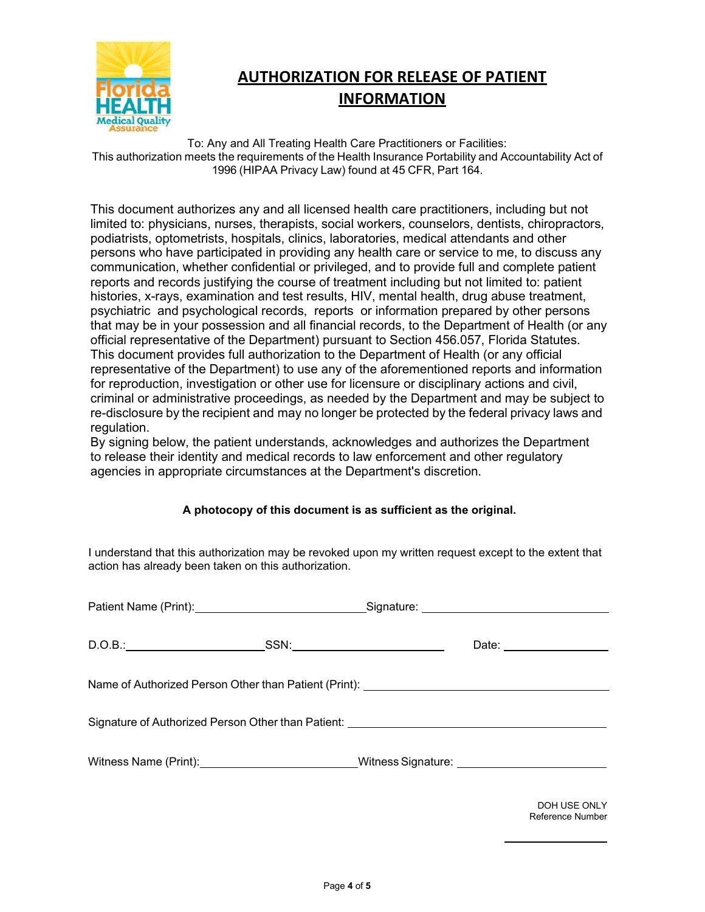

# **AUTHORIZATION FOR RELEASE OF PATIENT INFORMATION**

To: Any and All Treating Health Care Practitioners or Facilities: This authorization meets the requirements of the Health Insurance Portability and Accountability Act of 1996 (HIPAA Privacy Law) found at 45 CFR, Part 164.

This document authorizes any and all licensed health care practitioners, including but not limited to: physicians, nurses, therapists, social workers, counselors, dentists, chiropractors, podiatrists, optometrists, hospitals, clinics, laboratories, medical attendants and other persons who have participated in providing any health care or service to me, to discuss any communication, whether confidential or privileged, and to provide full and complete patient reports and records justifying the course of treatment including but not limited to: patient histories, x-rays, examination and test results, HIV, mental health, drug abuse treatment, psychiatric and psychological records, reports or information prepared by other persons that may be in your possession and all financial records, to the Department of Health (or any official representative of the Department) pursuant to Section 456.057, Florida Statutes. This document provides full authorization to the Department of Health (or any official representative of the Department) to use any of the aforementioned reports and information for reproduction, investigation or other use for licensure or disciplinary actions and civil, criminal or administrative proceedings, as needed by the Department and may be subject to re-disclosure by the recipient and may no longer be protected by the federal privacy laws and regulation.

By signing below, the patient understands, acknowledges and authorizes the Department to release their identity and medical records to law enforcement and other regulatory agencies in appropriate circumstances at the Department's discretion.

#### **A photocopy of this document is as sufficient as the original.**

I understand that this authorization may be revoked upon my written request except to the extent that action has already been taken on this authorization.

|                                                                                   |  |  | Date: ____________________ |  |  |
|-----------------------------------------------------------------------------------|--|--|----------------------------|--|--|
| Name of Authorized Person Other than Patient (Print): __________________________  |  |  |                            |  |  |
| Signature of Authorized Person Other than Patient: _____________________________  |  |  |                            |  |  |
|                                                                                   |  |  |                            |  |  |
| Witness Name (Print):__________________________Witness Signature: _______________ |  |  |                            |  |  |
|                                                                                   |  |  |                            |  |  |

DOH USE ONLY Reference Number

 $\frac{1}{2}$